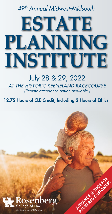# *49th Annual Midwest-Midsouth*

# **ESTATE PLANNING INSTITUTE**

# July 28 & 29, 2022 *AT THE HISTORIC KEENELAND RACECOURSE (Remote attendance option available.)*

12.75 Hours of CLE Credit, Including 2 Hours of Ethics

**ADVANCE NOTICE CAR** PREFERRED CUSTOMERS

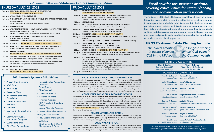|  | 7:30 a.m. REGISTRATION TABLE OPENS / CONTINENTAL BREAKFAST<br>SPONSORED BY CENTRAL BANK & TRUST CO.                                              |  | 7:30 a.m. CONTINENTAL BREAKFAST / LATE CHECK-IN<br>SPONSORED BY PNC WEALTH MANAGEMENT                                                                                                                                                   |
|--|--------------------------------------------------------------------------------------------------------------------------------------------------|--|-----------------------------------------------------------------------------------------------------------------------------------------------------------------------------------------------------------------------------------------|
|  | 8:20 a.m. WELCOME AND ANNOUNCEMENTS                                                                                                              |  | 8:15 a.m. NOTABLE DEVELOPMENTS IN ESTATE PLANNING & AD<br>Turney P. Berry // Wyatt, Tarrant & Combs LLP, Louisville, I                                                                                                                  |
|  | 8:30 a.m. THE PAST YEAR'S MOST SIGNIFICANT, CURIOUS, OR DOWNRIGHT FASCINATING                                                                    |  | Charles A. ("Clary") Redd // Stinson LLP, St. Louis, Missou                                                                                                                                                                             |
|  | <b>FIDUCIARY CASES</b><br>Dana G. Fitzsimons Jr. // Bessemer Trust, Atlanta, Georgia                                                             |  | 9:25 a.m. MORNING BREAK                                                                                                                                                                                                                 |
|  | 9:40 a.m. MORNING BREAK                                                                                                                          |  | 9:45 a.m. LEGAL ETHICS: UNDERSTANDING THE KBA'S DISCIPLIN<br>Jane H. Herrick // Kentucky Bar Association, Frankfort, Ke                                                                                                                 |
|  | 10:00 a.m. WHAT ESTATE PLANNERS IN COMMON LAW MARITAL PROPERTY STATES NEED TO<br><b>KNOW ABOUT COMMUNITY PROPERTY</b>                            |  | 10:45 a.m. CONTEMPORARY TRUST ADMINISTRATION CHALLENG<br>Charles A. ("Clary") Redd // Stinson LLP, St. Louis, Missou                                                                                                                    |
|  | Dr. Gerry W. Beyer // Texas Tech University School of Law, Lubbock, Texas                                                                        |  | 11:45 a.m. LUNCH BREAK SPONSORED BY ARGENT TRUST COMPA                                                                                                                                                                                  |
|  | 11:00 a.m. ENVIRONMENTAL, SOCIAL, GOVERNANCE (ESG) INVESTING -<br>IT'S INEVITABLE, IT'S NOW                                                      |  | 12:35 p.m. ANNUAL KENTUCKY LEGISLATIVE & CASE LAW UPDATI<br><b>PROBATE</b>                                                                                                                                                              |
|  | Linda Duessel // Federated Hermes, Inc., Pittsburgh, Pennsylvania                                                                                |  | Scott A. Weinberg // Lynch, Cox, Gilman, & Goodman P.S.                                                                                                                                                                                 |
|  | 12:00 p.m. LUNCH BREAK SPONSORED BY COMMUNITY TRUST & INVESTMENT CO.                                                                             |  | 1:05 p.m. INCOME TAXATION OF ESTATES AND TRUSTS                                                                                                                                                                                         |
|  | 12:50 p.m. WHAT EVERY ESTATE PLANNER NEEDS TO KNOW ABOUT GUN TRUSTS<br>Mary A. Akkerman // Davenport Evans, Sioux Falls, South Dakota            |  | Mickey R. Davis // Davis & Willms, PLLC, Houston, Texas<br>Melissa J. Willms // Davis & Willms, PLLC, Houston, Texas                                                                                                                    |
|  | 1:50 p.m. AFTERNOON BREAK                                                                                                                        |  | 2:05 p.m. AFTERNOON BREAK SPONSORED BY FIFTH THIRD PRIV                                                                                                                                                                                 |
|  | SPONSORED BY STOCK YARDS BANK WEALTH MANAGEMENT & TRUST                                                                                          |  | 2:20 p.m. RETIREMENT BENEFITS, ASSET PROTECTION, & POST-N<br>Robert K. Kirkland // Kirkland Woods & Martinsen LLP, Lib                                                                                                                  |
|  | 2:10 p.m. THE ROLE OF THE PRIVATE ATTORNEY IN GUARDIANSHIP PROCEEDINGS<br>Misty Clark Vantrease // Kentucky ElderLaw, PLLC, Louisville, Kentucky |  | 3:20 p.m. 60 TIPS IN 60 MINUTES<br>Timothy G. Barrett // Argent Trust, Louisville, Kentucky                                                                                                                                             |
|  | 3:00 p.m. LEGAL ETHICS: PLANNING FOR THE INEVITABLE IN YOUR LAW PRACTICE<br>Courtney Risk // Lawyers Mutual of Kentucky, Louisville, Kentucky    |  | Edward J. Buechel // Buechel & Conley, PLLC, Edgewood<br>Wayne F. Wilson // Dinsmore & Shohl LLP, Louisville, Kentu<br>Stephanie McGehee-Shacklette // Berry & McGehee PLLC<br>Melanie L. McCoy // Frost Brown Todd LLC, Louisville, Ke |
|  | 4:00 p.m. RECESS INSTITUTE                                                                                                                       |  |                                                                                                                                                                                                                                         |
|  | 4:15 p.m. COCKTAIL / NETWORKING RECEPTION                                                                                                        |  | Tawana L. Edwards // Attorney at Law, Goshen, Kentucky                                                                                                                                                                                  |
|  | SPONSORED BY DEAN DORTON ALLEN FORD                                                                                                              |  | 4:20 p.m. ADJOURN INSTITUTE                                                                                                                                                                                                             |

### REGISTRATION & CANCELLATION INFORMATION

Pre-registration is strongly recommended. If you cancel, a full refund of tuition (less \$50 administrative charge) is given up to 4:30 p.m. EST, July 22, 2022. Registrants who cancel may still request course materials. If requested, course materials will be emailed after the seminar and the cost will be deducted from any refund. No refunds are available for cancellations after the deadline; however, materials will be emailed immediately in full consideration for tuition paid. Registrations are transferable and substitution of registrants may be made any time before the seminar begins.

**Melanie L. McCoy** Frost Brown Todd LLC

### CONFERENCE LOCATION & ACCOMMODATIONS

**CLE's Annual Estate Planning Institute:**<br> *The oldest tradition*<br> *The longest-running*<br>
in estate planning annual CLE event in<br>
CLE in the Midsouth. <br> **INSTITUTE CO-CHAIRS** *annual CLE event in the Commonwealth.*

The conference itself will be held at the historic Keeneland Racecourse Sales Pavilion in the bluegrass region of Kentucky, located at 4201 Versailles Road in Lexington, Kentucky. Hotel rooms for conference participants have been blocked at Lexington Marriott City Center, located at 121 West Vine Street. The block is from July 27 through July 28, 2022. Rooms will be held until July 6, 2022, *or until sold out*, at the rate of \$199 per night. Reserve rooms directly with the hotel online at <[tinyurl.com/EstatePlanning2022](https://tinyurl.com/EstatePlanning2022)>. Registrants will need make arrangements to travel from the hotel to Keeneland and back.

### REMOTE ATTENDANCE OPTION

This Institute will offer the option of attending virtually via live-streamed video. Instructions will be provided if you select this option on the registration form. You will need stable, high-speed internet access and a computer, laptop, tablet, or other mobile device.

### COVID-19 SAFETY PLAN

If it is deemed unsafe to hold this Institute in person, please note that it will be offered as a live, interactive Zoom webinar on the same dates and following the same agenda times. We will notify registrants of this change as soon as is practicable. See registrant cancellation policy above.

# *49th Annual Midwest-Midsouth Estate Planning Institute*

# THURSDAY, JULY 28, 2022 **FRIDAY, JULY 29 2022**

# *2022 Institute Sponsors & Exhibitors*

- Argent Trust Company
- ARGI Trust
- Baird Trust
- Bessemer Trust
- Bluegrass Community Foundation
- Central Bank & Trust Company
- Christie's
- Community Foundation of **Louisville**
- Community Trust & Investment Company
- Cumberland Trust
- Fifth Third Private Bank
- Foundation for Appalachian **Kentucky**
- Dean Dorton
- ElderCounsel
- Glenview Trust Co.
- Heritage Auctions
- Hindman Auctions
- KBA Probate & Trust Law **Section**
- Krause Financial Services
- Lawyers Mutual of Kentucky
- Lawyers With Purpose
- PNC Wealth Management
- Sotheby's
- Stock Yards Bank Wealth Management & Trust

### **ITINENTAL BREAKFAST / LATE CHECK-IN NSORED BY PNC WEALTH MANAGEMENT** ABLE DEVELOPMENTS IN ESTATE PLANNING & ADMINISTRATION ey P. Berry // Wyatt, Tarrant & Combs LLP, Louisville, Kentucky les A. ("Clary") Redd // Stinson LLP, St. Louis, Missouri RNING BREAK AL ETHICS: UNDERSTANDING THE KBA'S DISCIPLINARY PROCESS H. Herrick // Kentucky Bar Association, Frankfort, Kentucky **NTEMPORARY TRUST ADMINISTRATION CHALLENGES** les A. ("Clary") Redd // Stinson LLP, St. Louis, Missouri ICH BREAK SPONSORED BY ARGENT TRUST COMPANY 12:35 NUAL KENTUCKY LEGISLATIVE & CASE LAW UPDATE IN ESTATE PLANNING **BATE** tt A. Weinberg // Lynch, Cox, Gilman, & Goodman P.S.C., Louisville, Kentucky OME TAXATION OF ESTATES AND TRUSTS key R. Davis // Davis & Willms, PLLC, Houston, Texas issa J. Willms // Davis & Willms, PLLC, Houston, Texas ERNOON BREAK SPONSORED BY FIFTH THIRD PRIVATE BANK IREMENT BENEFITS, ASSET PROTECTION, & POST-MORTEM PLANNING ISSUES ert K. Kirkland // Kirkland Woods & Martinsen LLP, Liberty, Missouri TIPS IN 60 MINUTES othy G. Barrett // Argent Trust, Louisville, Kentucky ard J. Buechel // Buechel & Conley, PLLC, Edgewood, Kentucky ne F. Wilson // Dinsmore & Shohl LLP, Louisville, Kentucky hanie McGehee-Shacklette // Berry & McGehee PLLC, Bowling Green, Kentucky anie L. McCoy // Frost Brown Todd LLC, Louisville, Kentucky

The University of Kentucky College of Law Office of Continuing Legal Education takes pride in presenting authoritative, practical programs in estate planning and estate administration. Join the loyal group of participants who register for this mid-summer program every year. Each July, a distinguished regional and national faculty contribute writings and discussions to update you on essential topics, explore new areas and provide fresh, practical analyses for the complexities of modern estate planning practice.

**OURN INSTITUTE** 

Timothy G. Barrett Mary J. Healy Argent Trust

John T. Bondurant Attorney at Law

Douglas A. Bozell Douglas A. Bozell PLLC

> Kelli E. Brown Goldberg Simpson

Edward J. Buechel Buechel & Conley, PLLC

> Cynthia S. Buttorff Weber|Rose PSC

Tawana L. Edwards Wayne F. Wilson Attorney at Law

Dinsmore & Shohl LLP

Mark T. MacDonald Wyatt Tarrant & Combs LLP

Stephanie McGehee-Shacklette Berry & McGehee PLLC

Dani Fowles James C. "Jim" Worthington, Sr.

PNC Wealth Management Worthington Law Firm

Andy D. Waters Community Trust & Investment Company

Scott A. Weinberg Lynch, Cox, Gilman, & Goodman P.S.C.

Dinsmore & Shohl LLP

# *Enroll now for this summer's Institute, covering critical issues for estate planning and administration professionals.*

Glen S. Bagby *Dinsmore & Shohl LLP Lexington, Kentucky*

Turney P. Berry *Wyatt Tarrant & Combs LLP Louisville, Kentucky*

# INSTITUTE CO-CHAIRS

## PLANNING COMMITTEE

*The oldest tradition in estate planning*

> *UK/CLE wishes to thank the KBA PROBATE & TRUST LAW SECTION for its annual sponsorship of funds toward out-of-state speaker expenses.*